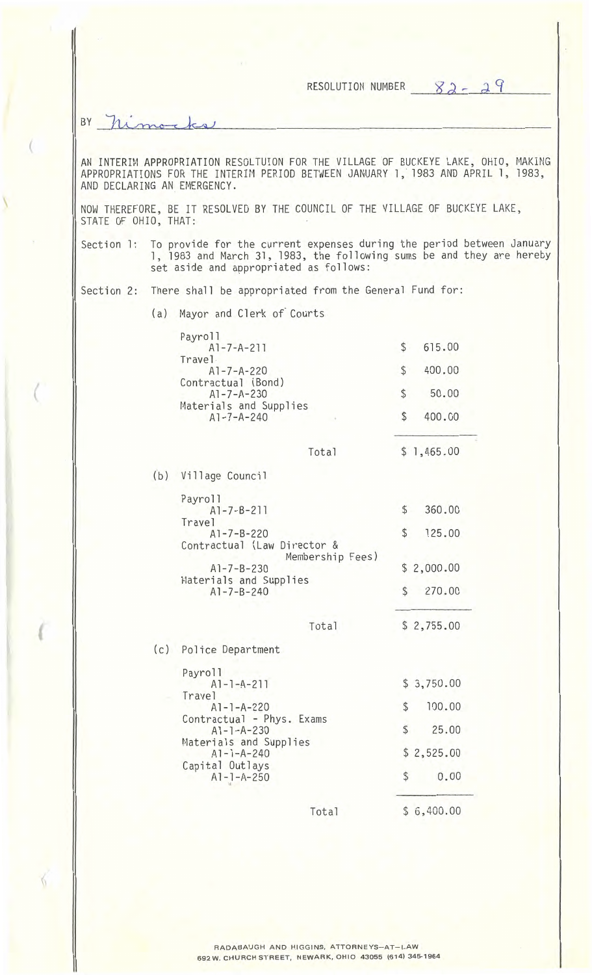RESOLUTION NUMBER  $82 - 29$ BY himo AN INTERIM APPROPRIATION RESOLTUION FOR THE VILLAGE OF BUCKEYE LAKE, OHIO, MAKING APPROPRIATIONS FOR THE INTERIM PERIOD BETWEEN JANUARY l, 1983 AND APRIL l, 1983, AND DECLARING AN EMERGENCY. NOW THEREFORE, BE IT RESOLVED BY THE COUNCIL OF THE VILLAGE OF BUCKEYE LAKE, STATE OF OHIO, THAT: Section 1: To provide for the current expenses during the period between January l, 1983 and March 31, 1983, the following sums be and they are hereby set aside and appropriated as follows: Section 2: There shall be appropriated from the General Fund for: (a) Mayor and Cl erk *of* Courts Payroll Al-7-A-211 \$ 615.00 Travel Al-7-A-220 \$ 400.00 Contractual (Bond) Al-7-A-230 \$ 50.00 Materials and Supplies Al-7-A-240 \$ 400.00 Total \$ 1,465.00 (b) Village Council Payroll Al-7-B-211 \$ 360.00 Travel Al-7-B-220 \$ 125.00 Contractual (Law Director & Membership Fees) Al-7-8-230 \$ 2,000.00 Materials and Supplies \$ 270.00 Al-7-B-240 Total \$ 2,755.00 (c) Police Department Payroll Al-l-A-211 \$ 3,750.00 Travel \$ 100.00 Al-l-A-220 Contractual - Phys. Exams Al-l-A-230 \$ 25.00 Materials and Supplies \$ 2,525.00 Al-l-A-240 Capital Outlays Al-l-A-250 \$ 0.00 " Total \$ 6,400.00

(

(

6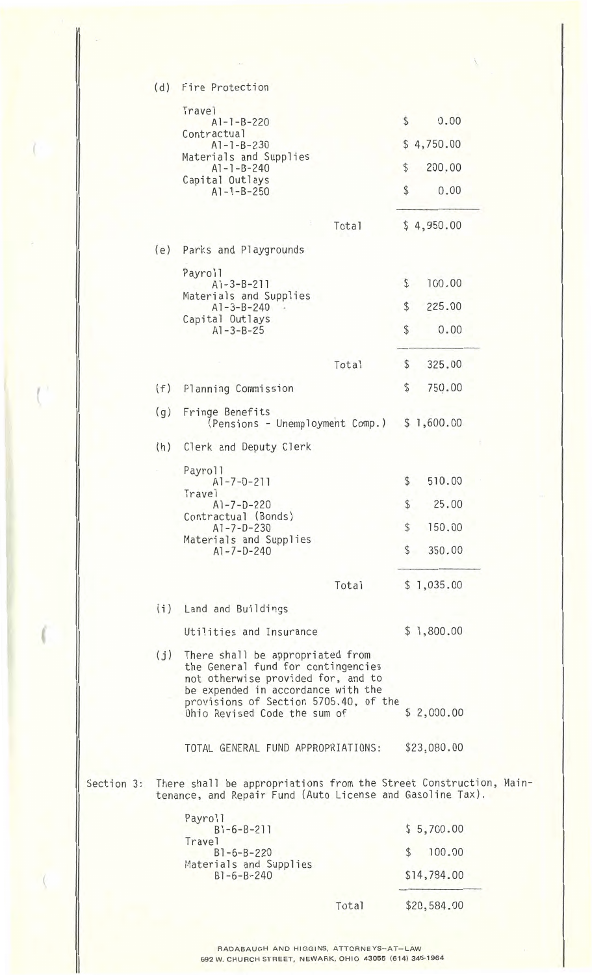|            | (d) | Fire Protection                                                                                                                                                                                                             |                        |             |  |
|------------|-----|-----------------------------------------------------------------------------------------------------------------------------------------------------------------------------------------------------------------------------|------------------------|-------------|--|
|            |     | <b>Travel</b>                                                                                                                                                                                                               | $\frac{1}{2}$          |             |  |
|            |     | $A1 - 1 - B - 220$<br>Contractual                                                                                                                                                                                           |                        | 0.00        |  |
|            |     | $A1 - 1 - B - 230$<br>Materials and Supplies<br>$A1 - 1 - B - 240$<br>Capital Outlays                                                                                                                                       |                        | \$4,750.00  |  |
|            |     |                                                                                                                                                                                                                             | \$                     | 200.00      |  |
|            |     | $A1 - 1 - B - 250$                                                                                                                                                                                                          | \$                     | 0.00        |  |
|            |     | Total                                                                                                                                                                                                                       |                        | \$4,950.00  |  |
|            | (e) | Parks and Playgrounds                                                                                                                                                                                                       |                        |             |  |
|            |     | Payroll<br>$A1 - 3 - B - 211$                                                                                                                                                                                               | \$                     | 100.00      |  |
|            |     | Materials and Supplies<br>$A1 - 3 - B - 240$<br>Capital Outlays<br>$A1 - 3 - B - 25$                                                                                                                                        | \$                     | 225.00      |  |
|            |     |                                                                                                                                                                                                                             | $\mathcal{L}$          | 0.00        |  |
|            |     |                                                                                                                                                                                                                             |                        |             |  |
|            |     | Total                                                                                                                                                                                                                       | $\boldsymbol{\varphi}$ | 325.00      |  |
|            | (f) | Planning Commission                                                                                                                                                                                                         | \$                     | 750.00      |  |
|            | (g) | Fringe Benefits<br>(Pensions - Unemployment Comp.)                                                                                                                                                                          |                        | \$1,600.00  |  |
|            | (h) | Clerk and Deputy Clerk                                                                                                                                                                                                      |                        |             |  |
|            |     | Payroll<br>$A1 - 7 - D - 211$                                                                                                                                                                                               | \$                     | 510.00      |  |
|            |     | Travel<br>$A1 - 7 - D - 220$                                                                                                                                                                                                | \$                     | 25.00       |  |
|            |     | Contractual (Bonds)<br>$A1 - 7 - D - 230$                                                                                                                                                                                   | \$                     | 150.00      |  |
|            |     | Materials and Supplies<br>$A1 - 7 - D - 240$                                                                                                                                                                                | \$                     | 350.00      |  |
|            |     | Total                                                                                                                                                                                                                       |                        | \$1,035.00  |  |
|            | (i) | Land and Buildings                                                                                                                                                                                                          |                        |             |  |
|            |     | Utilities and Insurance                                                                                                                                                                                                     |                        | \$1,800.00  |  |
|            | (j) | There shall be appropriated from<br>the General fund for contingencies<br>not otherwise provided for, and to<br>be expended in accordance with the<br>provisions of Section 5705.40, of the<br>Ohio Revised Code the sum of |                        | \$2,000.00  |  |
|            |     | TOTAL GENERAL FUND APPROPRIATIONS:                                                                                                                                                                                          |                        | \$23,080.00 |  |
| Section 3: |     | There shall be appropriations from the Street Construction, Main-<br>tenance, and Repair Fund (Auto License and Gasoline Tax).                                                                                              |                        |             |  |
|            |     | Payroll<br>$B1 - 6 - B - 211$                                                                                                                                                                                               |                        | \$5,700.00  |  |
|            |     | Travel<br>$B1 - 6 - B - 220$<br>Materials and Supplies<br>$B1 - 6 - B - 240$                                                                                                                                                |                        | 100.00      |  |
|            |     |                                                                                                                                                                                                                             |                        | \$14,784.00 |  |
|            |     |                                                                                                                                                                                                                             |                        |             |  |
|            |     | Total                                                                                                                                                                                                                       |                        | \$20,584.00 |  |

RADABAUGH AND HIGGINS, ATTORNEYS—AT—LAW 692 W. CHURCH STREET, NEWARK, OHIO 43055 (614) 345-1964